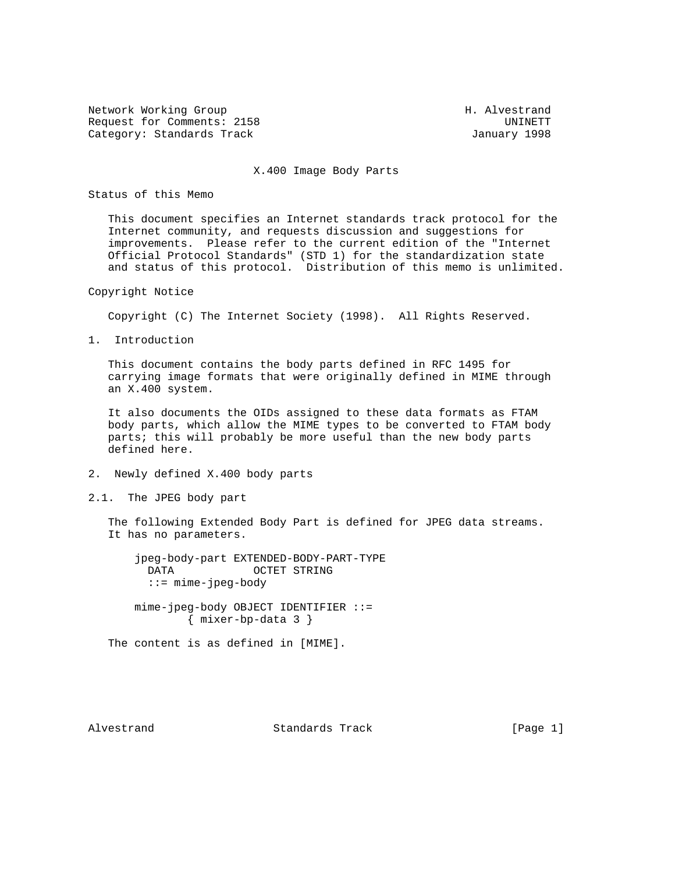Network Working Group Network More Sharehouse H. Alvestrand Request for Comments: 2158 UNINETT Category: Standards Track January 1998

## X.400 Image Body Parts

Status of this Memo

 This document specifies an Internet standards track protocol for the Internet community, and requests discussion and suggestions for improvements. Please refer to the current edition of the "Internet Official Protocol Standards" (STD 1) for the standardization state and status of this protocol. Distribution of this memo is unlimited.

Copyright Notice

Copyright (C) The Internet Society (1998). All Rights Reserved.

1. Introduction

 This document contains the body parts defined in RFC 1495 for carrying image formats that were originally defined in MIME through an X.400 system.

 It also documents the OIDs assigned to these data formats as FTAM body parts, which allow the MIME types to be converted to FTAM body parts; this will probably be more useful than the new body parts defined here.

- 2. Newly defined X.400 body parts
- 2.1. The JPEG body part

 The following Extended Body Part is defined for JPEG data streams. It has no parameters.

 jpeg-body-part EXTENDED-BODY-PART-TYPE DATA OCTET STRING ::= mime-jpeg-body mime-jpeg-body OBJECT IDENTIFIER ::= { mixer-bp-data 3 }

The content is as defined in [MIME].

Alvestrand Standards Track [Page 1]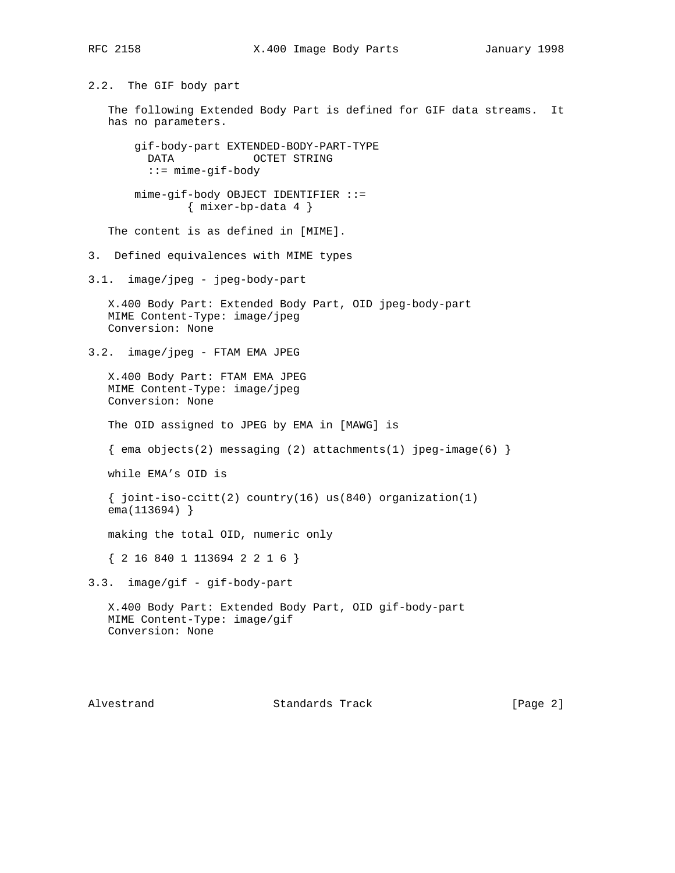2.2. The GIF body part The following Extended Body Part is defined for GIF data streams. It has no parameters. gif-body-part EXTENDED-BODY-PART-TYPE DATA OCTET STRING ::= mime-gif-body mime-gif-body OBJECT IDENTIFIER ::= { mixer-bp-data 4 } The content is as defined in [MIME]. 3. Defined equivalences with MIME types 3.1. image/jpeg - jpeg-body-part X.400 Body Part: Extended Body Part, OID jpeg-body-part MIME Content-Type: image/jpeg Conversion: None 3.2. image/jpeg - FTAM EMA JPEG X.400 Body Part: FTAM EMA JPEG MIME Content-Type: image/jpeg Conversion: None The OID assigned to JPEG by EMA in [MAWG] is  $\{$  ema objects(2) messaging (2) attachments(1) jpeg-image(6)  $\}$  while EMA's OID is { joint-iso-ccitt(2) country(16) us(840) organization(1) ema(113694) } making the total OID, numeric only { 2 16 840 1 113694 2 2 1 6 } 3.3. image/gif - gif-body-part X.400 Body Part: Extended Body Part, OID gif-body-part MIME Content-Type: image/gif Conversion: None

Alvestrand Standards Track [Page 2]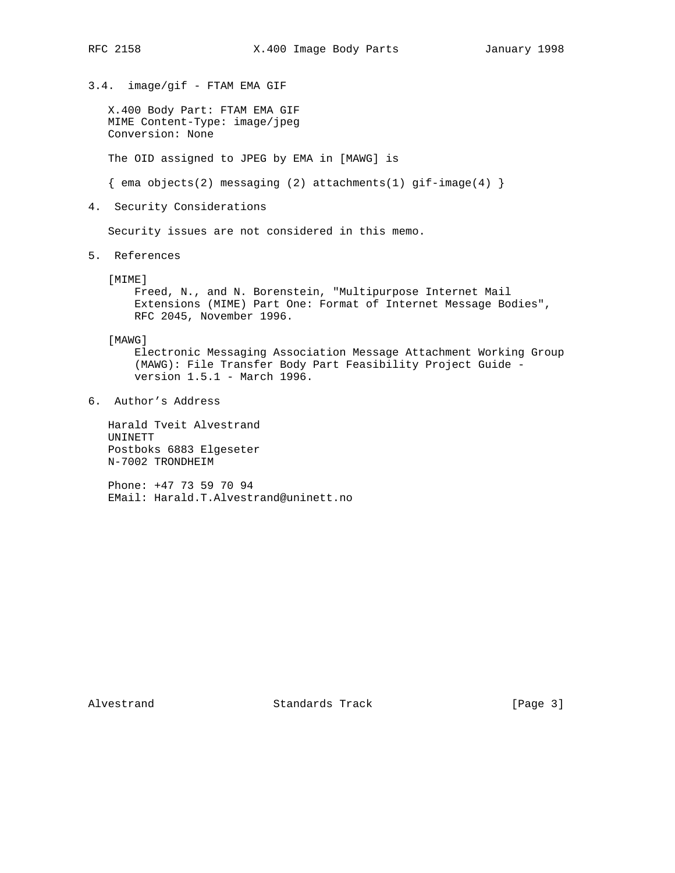3.4. image/gif - FTAM EMA GIF

 X.400 Body Part: FTAM EMA GIF MIME Content-Type: image/jpeg Conversion: None

The OID assigned to JPEG by EMA in [MAWG] is

 $\{$  ema objects(2) messaging (2) attachments(1) gif-image(4)  $\}$ 

4. Security Considerations

Security issues are not considered in this memo.

5. References

[MIME]

 Freed, N., and N. Borenstein, "Multipurpose Internet Mail Extensions (MIME) Part One: Format of Internet Message Bodies", RFC 2045, November 1996.

[MAWG]

 Electronic Messaging Association Message Attachment Working Group (MAWG): File Transfer Body Part Feasibility Project Guide version 1.5.1 - March 1996.

6. Author's Address

 Harald Tveit Alvestrand UNINETT Postboks 6883 Elgeseter N-7002 TRONDHEIM

 Phone: +47 73 59 70 94 EMail: Harald.T.Alvestrand@uninett.no

Alvestrand Standards Track [Page 3]